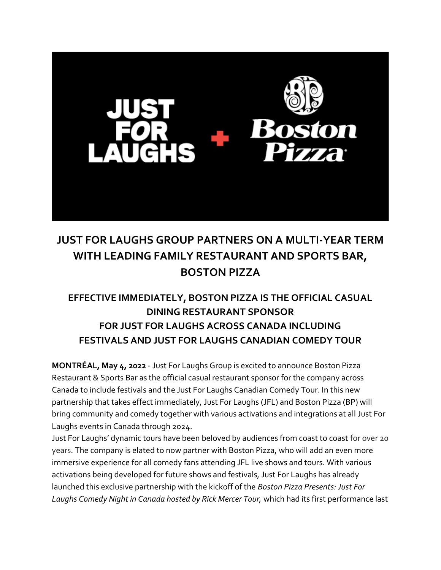

## **JUST FOR LAUGHS GROUP PARTNERS ON A MULTI-YEAR TERM WITH LEADING FAMILY RESTAURANT AND SPORTS BAR, BOSTON PIZZA**

## **EFFECTIVE IMMEDIATELY, BOSTON PIZZA IS THE OFFICIAL CASUAL DINING RESTAURANT SPONSOR FOR JUST FOR LAUGHS ACROSS CANADA INCLUDING FESTIVALS AND JUST FOR LAUGHS CANADIAN COMEDY TOUR**

**MONTRÉAL, May 4, 2022** - Just For Laughs Group is excited to announce Boston Pizza Restaurant & Sports Bar as the official casual restaurant sponsor for the company across Canada to include festivals and the Just For Laughs Canadian Comedy Tour. In this new partnership that takes effect immediately, Just For Laughs (JFL) and Boston Pizza (BP) will bring community and comedy together with various activations and integrations at all Just For Laughs events in Canada through 2024.

Just For Laughs' dynamic tours have been beloved by audiences from coast to coast for over 20 years. The company is elated to now partner with Boston Pizza, who will add an even more immersive experience for all comedy fans attending JFL live shows and tours. With various activations being developed for future shows and festivals, Just For Laughs has already launched this exclusive partnership with the kickoff of the *Boston Pizza Presents: Just For Laughs Comedy Night in Canada hosted by Rick Mercer Tour,* which had its first performance last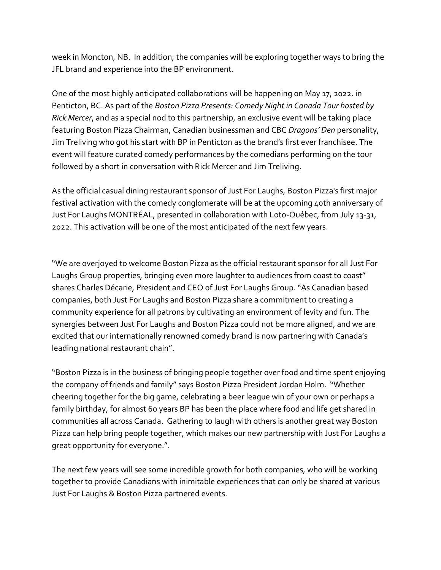week in Moncton, NB. In addition, the companies will be exploring together ways to bring the JFL brand and experience into the BP environment.

One of the most highly anticipated collaborations will be happening on May 17, 2022. in Penticton, BC. As part of the *Boston Pizza Presents: Comedy Night in Canada Tour hosted by Rick Mercer*, and as a special nod to this partnership, an exclusive event will be taking place featuring Boston Pizza Chairman, Canadian businessman and CBC *Dragons' Den* personality, Jim Treliving who got his start with BP in Penticton as the brand's first ever franchisee. The event will feature curated comedy performances by the comedians performing on the tour followed by a short in conversation with Rick Mercer and Jim Treliving.

As the official casual dining restaurant sponsor of Just For Laughs, Boston Pizza's first major festival activation with the comedy conglomerate will be at the upcoming 40th anniversary of Just For Laughs MONTRÉAL, presented in collaboration with Loto-Québec, from July 13-31, 2022. This activation will be one of the most anticipated of the next few years.

"We are overjoyed to welcome Boston Pizza as the official restaurant sponsor for all Just For Laughs Group properties, bringing even more laughter to audiences from coast to coast" shares Charles Décarie, President and CEO of Just For Laughs Group. "As Canadian based companies, both Just For Laughs and Boston Pizza share a commitment to creating a community experience for all patrons by cultivating an environment of levity and fun. The synergies between Just For Laughs and Boston Pizza could not be more aligned, and we are excited that our internationally renowned comedy brand is now partnering with Canada's leading national restaurant chain".

"Boston Pizza is in the business of bringing people together over food and time spent enjoying the company of friends and family" says Boston Pizza President Jordan Holm. "Whether cheering together for the big game, celebrating a beer league win of your own or perhaps a family birthday, for almost 60 years BP has been the place where food and life get shared in communities all across Canada. Gathering to laugh with others is another great way Boston Pizza can help bring people together, which makes our new partnership with Just For Laughs a great opportunity for everyone.".

The next few years will see some incredible growth for both companies, who will be working together to provide Canadians with inimitable experiences that can only be shared at various Just For Laughs & Boston Pizza partnered events.